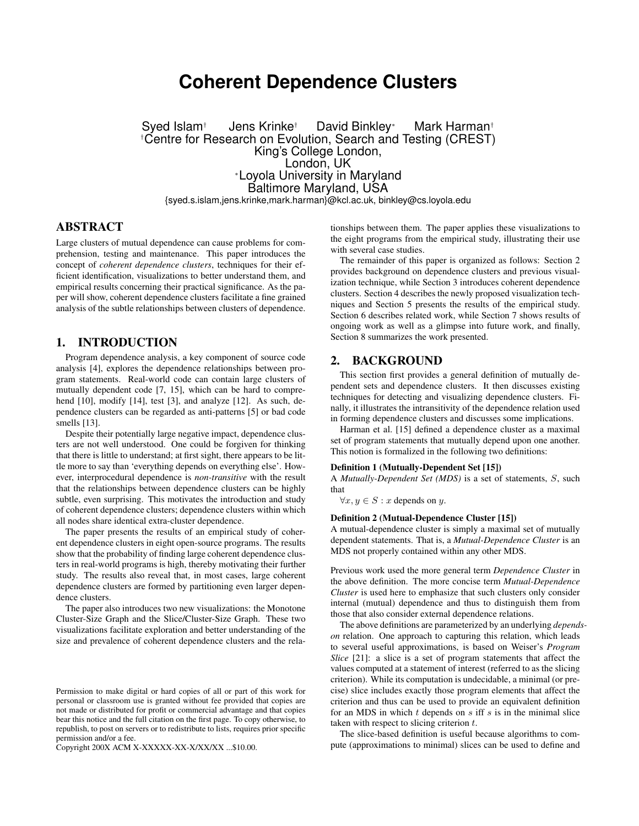# **Coherent Dependence Clusters**

Syed Islam† Jens Krinke† David Binkley<sup>∗</sup> Mark Harman† †Centre for Research on Evolution, Search and Testing (CREST) King's College London, London, UK <sup>∗</sup>Loyola University in Maryland Baltimore Maryland, USA {syed.s.islam,jens.krinke,mark.harman}@kcl.ac.uk, binkley@cs.loyola.edu

### ABSTRACT

Large clusters of mutual dependence can cause problems for comprehension, testing and maintenance. This paper introduces the concept of *coherent dependence clusters*, techniques for their efficient identification, visualizations to better understand them, and empirical results concerning their practical significance. As the paper will show, coherent dependence clusters facilitate a fine grained analysis of the subtle relationships between clusters of dependence.

# 1. INTRODUCTION

Program dependence analysis, a key component of source code analysis [4], explores the dependence relationships between program statements. Real-world code can contain large clusters of mutually dependent code [7, 15], which can be hard to comprehend [10], modify [14], test [3], and analyze [12]. As such, dependence clusters can be regarded as anti-patterns [5] or bad code smells [13].

Despite their potentially large negative impact, dependence clusters are not well understood. One could be forgiven for thinking that there is little to understand; at first sight, there appears to be little more to say than 'everything depends on everything else'. However, interprocedural dependence is *non-transitive* with the result that the relationships between dependence clusters can be highly subtle, even surprising. This motivates the introduction and study of coherent dependence clusters; dependence clusters within which all nodes share identical extra-cluster dependence.

The paper presents the results of an empirical study of coherent dependence clusters in eight open-source programs. The results show that the probability of finding large coherent dependence clusters in real-world programs is high, thereby motivating their further study. The results also reveal that, in most cases, large coherent dependence clusters are formed by partitioning even larger dependence clusters.

The paper also introduces two new visualizations: the Monotone Cluster-Size Graph and the Slice/Cluster-Size Graph. These two visualizations facilitate exploration and better understanding of the size and prevalence of coherent dependence clusters and the rela-

Copyright 200X ACM X-XXXXX-XX-X/XX/XX ...\$10.00.

tionships between them. The paper applies these visualizations to the eight programs from the empirical study, illustrating their use with several case studies.

The remainder of this paper is organized as follows: Section 2 provides background on dependence clusters and previous visualization technique, while Section 3 introduces coherent dependence clusters. Section 4 describes the newly proposed visualization techniques and Section 5 presents the results of the empirical study. Section 6 describes related work, while Section 7 shows results of ongoing work as well as a glimpse into future work, and finally, Section 8 summarizes the work presented.

# 2. BACKGROUND

This section first provides a general definition of mutually dependent sets and dependence clusters. It then discusses existing techniques for detecting and visualizing dependence clusters. Finally, it illustrates the intransitivity of the dependence relation used in forming dependence clusters and discusses some implications.

Harman et al. [15] defined a dependence cluster as a maximal set of program statements that mutually depend upon one another. This notion is formalized in the following two definitions:

### Definition 1 (Mutually-Dependent Set [15])

A *Mutually-Dependent Set (MDS)* is a set of statements, *S*, such that

 $∀x, y ∈ S : x$  depends on *y*.

### Definition 2 (Mutual-Dependence Cluster [15])

A mutual-dependence cluster is simply a maximal set of mutually dependent statements. That is, a *Mutual-Dependence Cluster* is an MDS not properly contained within any other MDS.

Previous work used the more general term *Dependence Cluster* in the above definition. The more concise term *Mutual-Dependence Cluster* is used here to emphasize that such clusters only consider internal (mutual) dependence and thus to distinguish them from those that also consider external dependence relations.

The above definitions are parameterized by an underlying *dependson* relation. One approach to capturing this relation, which leads to several useful approximations, is based on Weiser's *Program Slice* [21]: a slice is a set of program statements that affect the values computed at a statement of interest (referred to as the slicing criterion). While its computation is undecidable, a minimal (or precise) slice includes exactly those program elements that affect the criterion and thus can be used to provide an equivalent definition for an MDS in which *t* depends on *s* iff *s* is in the minimal slice taken with respect to slicing criterion *t*.

The slice-based definition is useful because algorithms to compute (approximations to minimal) slices can be used to define and

Permission to make digital or hard copies of all or part of this work for personal or classroom use is granted without fee provided that copies are not made or distributed for profit or commercial advantage and that copies bear this notice and the full citation on the first page. To copy otherwise, to republish, to post on servers or to redistribute to lists, requires prior specific permission and/or a fee.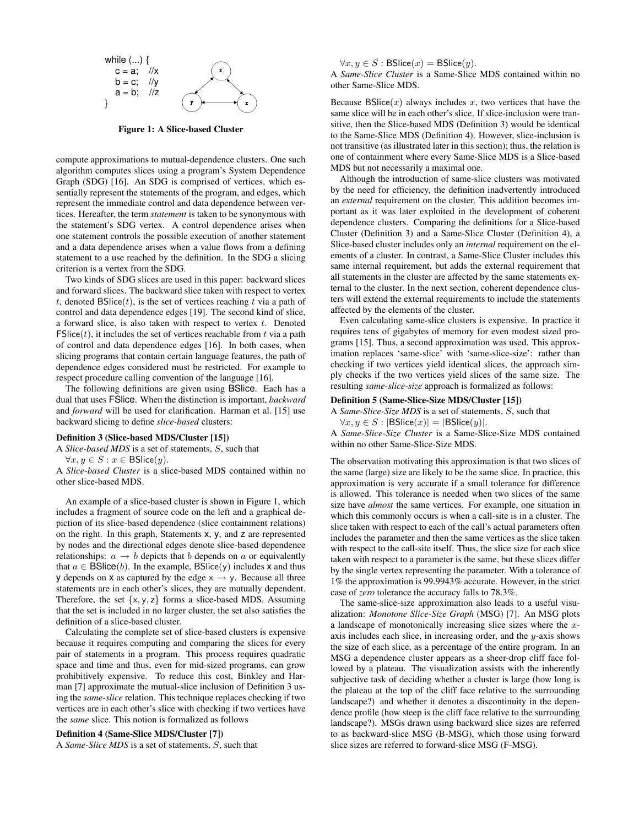

Figure 1: A Slice-based Cluster

compute approximations to mutual-dependence clusters. One such algorithm computes slices using a program's System Dependence Graph (SDG) [16]. An SDG is comprised of vertices, which essentially represent the statements of the program, and edges, which represent the immediate control and data dependence between vertices. Hereafter, the term *statement* is taken to be synonymous with the statement's SDG vertex. A control dependence arises when one statement controls the possible execution of another statement and a data dependence arises when a value flows from a defining statement to a use reached by the definition. In the SDG a slicing criterion is a vertex from the SDG.

Two kinds of SDG slices are used in this paper: backward slices and forward slices. The backward slice taken with respect to vertex  $t$ , denoted BSlice $(t)$ , is the set of vertices reaching  $t$  via a path of control and data dependence edges [19]. The second kind of slice, a forward slice, is also taken with respect to vertex *t*. Denoted  $FSlice(t)$ , it includes the set of vertices reachable from *t* via a path of control and data dependence edges [16]. In both cases, when slicing programs that contain certain language features, the path of dependence edges considered must be restricted. For example to respect procedure calling convention of the language [16].

The following definitions are given using BSlice. Each has a dual that uses FSlice. When the distinction is important, *backward* and *forward* will be used for clarification. Harman et al. [15] use backward slicing to define *slice-based* clusters:

### Definition 3 (Slice-based MDS/Cluster [15])

A *Slice-based MDS* is a set of statements, *S*, such that

 $∀x, y ∈ S : x ∈ BSlice(y).$ 

A *Slice-based Cluster* is a slice-based MDS contained within no other slice-based MDS.

An example of a slice-based cluster is shown in Figure 1, which includes a fragment of source code on the left and a graphical depiction of its slice-based dependence (slice containment relations) on the right. In this graph, Statements x, y, and z are represented by nodes and the directional edges denote slice-based dependence relationships:  $a \rightarrow b$  depicts that *b* depends on *a* or equivalently that  $a \in BSlice(b)$ . In the example, BSIice(y) includes x and thus y depends on x as captured by the edge  $x \rightarrow y$ . Because all three statements are in each other's slices, they are mutually dependent. Therefore, the set  $\{x, y, z\}$  forms a slice-based MDS. Assuming that the set is included in no larger cluster, the set also satisfies the definition of a slice-based cluster.

Calculating the complete set of slice-based clusters is expensive because it requires computing and comparing the slices for every pair of statements in a program. This process requires quadratic space and time and thus, even for mid-sized programs, can grow prohibitively expensive. To reduce this cost, Binkley and Harman [7] approximate the mutual-slice inclusion of Definition 3 using the *same-slice* relation. This technique replaces checking if two vertices are in each other's slice with checking if two vertices have the *same* slice. This notion is formalized as follows

### Definition 4 (Same-Slice MDS/Cluster [7])

A *Same-Slice MDS* is a set of statements, *S*, such that

 $\forall x, y \in S : B \text{Slice}(x) = B \text{Slice}(y).$ 

A *Same-Slice Cluster* is a Same-Slice MDS contained within no other Same-Slice MDS.

Because BSlice $(x)$  always includes  $x$ , two vertices that have the same slice will be in each other's slice. If slice-inclusion were transitive, then the Slice-based MDS (Definition 3) would be identical to the Same-Slice MDS (Definition 4). However, slice-inclusion is not transitive (as illustrated later in this section); thus, the relation is one of containment where every Same-Slice MDS is a Slice-based MDS but not necessarily a maximal one.

Although the introduction of same-slice clusters was motivated by the need for efficiency, the definition inadvertently introduced an *external* requirement on the cluster. This addition becomes important as it was later exploited in the development of coherent dependence clusters. Comparing the definitions for a Slice-based Cluster (Definition 3) and a Same-Slice Cluster (Definition 4), a Slice-based cluster includes only an *internal* requirement on the elements of a cluster. In contrast, a Same-Slice Cluster includes this same internal requirement, but adds the external requirement that all statements in the cluster are affected by the same statements external to the cluster. In the next section, coherent dependence clusters will extend the external requirements to include the statements affected by the elements of the cluster.

Even calculating same-slice clusters is expensive. In practice it requires tens of gigabytes of memory for even modest sized programs [15]. Thus, a second approximation was used. This approximation replaces 'same-slice' with 'same-slice-size': rather than checking if two vertices yield identical slices, the approach simply checks if the two vertices yield slices of the same size. The resulting *same-slice-size* approach is formalized as follows:

### Definition 5 (Same-Slice-Size MDS/Cluster [15])

A *Same-Slice-Size MDS* is a set of statements, *S*, such that

 $∀x, y ∈ S : |BSlice(x)| = |BSlice(y)|.$ 

A *Same-Slice-Size Cluster* is a Same-Slice-Size MDS contained within no other Same-Slice-Size MDS.

The observation motivating this approximation is that two slices of the same (large) size are likely to be the same slice. In practice, this approximation is very accurate if a small tolerance for difference is allowed. This tolerance is needed when two slices of the same size have *almost* the same vertices. For example, one situation in which this commonly occurs is when a call-site is in a cluster. The slice taken with respect to each of the call's actual parameters often includes the parameter and then the same vertices as the slice taken with respect to the call-site itself. Thus, the slice size for each slice taken with respect to a parameter is the same, but these slices differ by the single vertex representing the parameter. With a tolerance of 1% the approximation is 99.9943% accurate. However, in the strict case of *zero* tolerance the accuracy falls to 78.3%.

The same-slice-size approximation also leads to a useful visualization: *Monotone Slice-Size Graph* (MSG) [7]. An MSG plots a landscape of monotonically increasing slice sizes where the *x*axis includes each slice, in increasing order, and the *y*-axis shows the size of each slice, as a percentage of the entire program. In an MSG a dependence cluster appears as a sheer-drop cliff face followed by a plateau. The visualization assists with the inherently subjective task of deciding whether a cluster is large (how long is the plateau at the top of the cliff face relative to the surrounding landscape?) and whether it denotes a discontinuity in the dependence profile (how steep is the cliff face relative to the surrounding landscape?). MSGs drawn using backward slice sizes are referred to as backward-slice MSG (B-MSG), which those using forward slice sizes are referred to forward-slice MSG (F-MSG).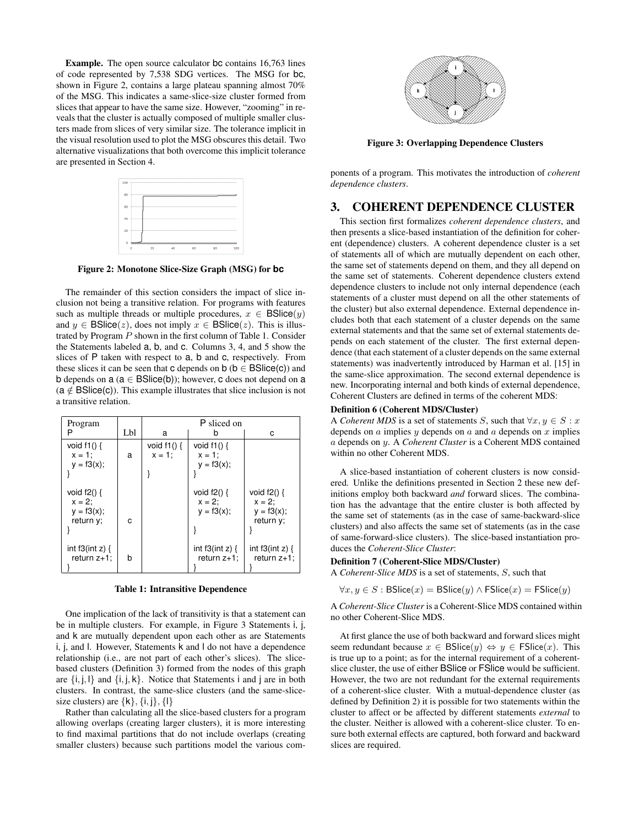Example. The open source calculator bc contains 16,763 lines of code represented by 7,538 SDG vertices. The MSG for bc, shown in Figure 2, contains a large plateau spanning almost 70% of the MSG. This indicates a same-slice-size cluster formed from slices that appear to have the same size. However, "zooming" in reveals that the cluster is actually composed of multiple smaller clusters made from slices of very similar size. The tolerance implicit in the visual resolution used to plot the MSG obscures this detail. Two alternative visualizations that both overcome this implicit tolerance are presented in Section 4.



Figure 2: Monotone Slice-Size Graph (MSG) for **bc**

The remainder of this section considers the impact of slice inclusion not being a transitive relation. For programs with features such as multiple threads or multiple procedures,  $x \in BSlice(y)$ and  $y \in BSlice(z)$ , does not imply  $x \in BSlice(z)$ . This is illustrated by Program *P* shown in the first column of Table 1. Consider the Statements labeled a, b, and c. Columns 3, 4, and 5 show the slices of P taken with respect to a, b and c, respectively. From these slices it can be seen that c depends on b ( $b \in BSlice(c)$ ) and b depends on  $a (a \in BSlice(b))$ ; however, c does not depend on a  $(a \notin BSlice(c))$ . This example illustrates that slice inclusion is not a transitive relation.

| Program                                                 |     | P sliced on                |                                            |                                                         |
|---------------------------------------------------------|-----|----------------------------|--------------------------------------------|---------------------------------------------------------|
|                                                         | Lbl | a                          | h                                          | с                                                       |
| void $f1()$ {<br>$x = 1$ ;<br>$y = f3(x)$ ;             | a   | void $f1()$ {<br>$x = 1$ ; | void $f1()$ {<br>$x = 1$ ;<br>$y = f3(x);$ |                                                         |
| void $f(2)$ {<br>$x = 2$ :<br>$y = f3(x);$<br>return y; | C   |                            | void $f(2)$ {<br>$x = 2$ :<br>$y = f3(x);$ | void $f(2)$ {<br>$x = 2$ ;<br>$y = f3(x);$<br>return y; |
| int f3(int z) $\{$<br>return $z+1$ ;                    | b   |                            | int f3(int $z$ ) {<br>return $z+1$ ;       | int f3(int $z$ ) {<br>return $z+1$ ;                    |

#### Table 1: Intransitive Dependence

One implication of the lack of transitivity is that a statement can be in multiple clusters. For example, in Figure 3 Statements i, j, and k are mutually dependent upon each other as are Statements i, j, and l. However, Statements k and l do not have a dependence relationship (i.e., are not part of each other's slices). The slicebased clusters (Definition 3) formed from the nodes of this graph are  $\{i, j, l\}$  and  $\{i, j, k\}$ . Notice that Statements i and j are in both clusters. In contrast, the same-slice clusters (and the same-slicesize clusters) are  $\{k\}, \{i, j\}, \{l\}$ 

Rather than calculating all the slice-based clusters for a program allowing overlaps (creating larger clusters), it is more interesting to find maximal partitions that do not include overlaps (creating smaller clusters) because such partitions model the various com-



Figure 3: Overlapping Dependence Clusters

ponents of a program. This motivates the introduction of *coherent dependence clusters*.

# 3. COHERENT DEPENDENCE CLUSTER

This section first formalizes *coherent dependence clusters*, and then presents a slice-based instantiation of the definition for coherent (dependence) clusters. A coherent dependence cluster is a set of statements all of which are mutually dependent on each other, the same set of statements depend on them, and they all depend on the same set of statements. Coherent dependence clusters extend dependence clusters to include not only internal dependence (each statements of a cluster must depend on all the other statements of the cluster) but also external dependence. External dependence includes both that each statement of a cluster depends on the same external statements and that the same set of external statements depends on each statement of the cluster. The first external dependence (that each statement of a cluster depends on the same external statements) was inadvertently introduced by Harman et al. [15] in the same-slice approximation. The second external dependence is new. Incorporating internal and both kinds of external dependence, Coherent Clusters are defined in terms of the coherent MDS:

### Definition 6 (Coherent MDS/Cluster)

A *Coherent MDS* is a set of statements *S*, such that  $\forall x, y \in S : x$ depends on *a* implies *y* depends on *a* and *a* depends on *x* implies *a* depends on *y*. A *Coherent Cluster* is a Coherent MDS contained within no other Coherent MDS.

A slice-based instantiation of coherent clusters is now considered. Unlike the definitions presented in Section 2 these new definitions employ both backward *and* forward slices. The combination has the advantage that the entire cluster is both affected by the same set of statements (as in the case of same-backward-slice clusters) and also affects the same set of statements (as in the case of same-forward-slice clusters). The slice-based instantiation produces the *Coherent-Slice Cluster*:

#### Definition 7 (Coherent-Slice MDS/Cluster)

A *Coherent-Slice MDS* is a set of statements, *S*, such that

∀*x, y* ∈ *S* : BSlice(*x*) = BSlice(*y*) ∧ FSlice(*x*) = FSlice(*y*)

A *Coherent-Slice Cluster* is a Coherent-Slice MDS contained within no other Coherent-Slice MDS.

At first glance the use of both backward and forward slices might seem redundant because  $x \in B}$ Slice $(y) \Leftrightarrow y \in F}$ Slice $(x)$ . This is true up to a point; as for the internal requirement of a coherentslice cluster, the use of either BSlice or FSlice would be sufficient. However, the two are not redundant for the external requirements of a coherent-slice cluster. With a mutual-dependence cluster (as defined by Definition 2) it is possible for two statements within the cluster to affect or be affected by different statements *external* to the cluster. Neither is allowed with a coherent-slice cluster. To ensure both external effects are captured, both forward and backward slices are required.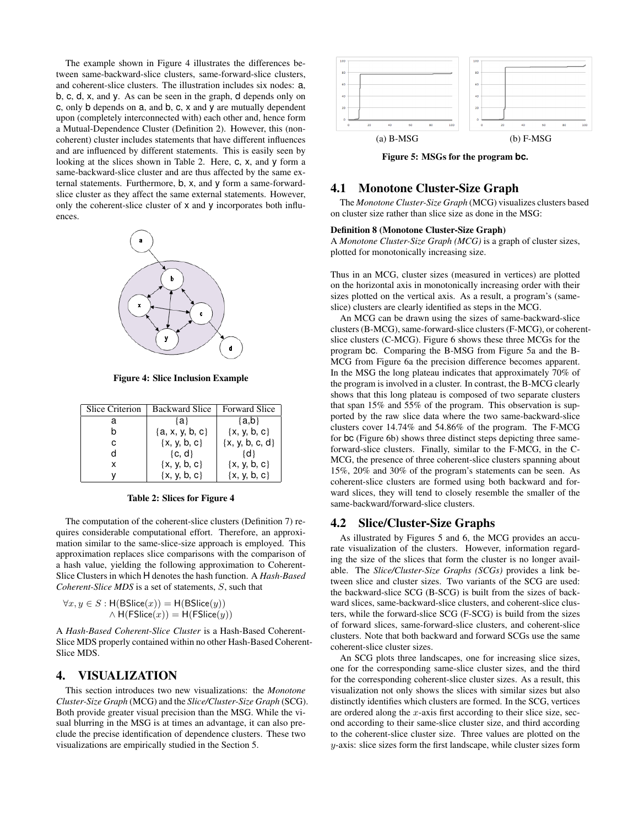The example shown in Figure 4 illustrates the differences between same-backward-slice clusters, same-forward-slice clusters, and coherent-slice clusters. The illustration includes six nodes: a, b, c, d, x, and y. As can be seen in the graph, d depends only on c, only b depends on a, and b, c, x and y are mutually dependent upon (completely interconnected with) each other and, hence form a Mutual-Dependence Cluster (Definition 2). However, this (noncoherent) cluster includes statements that have different influences and are influenced by different statements. This is easily seen by looking at the slices shown in Table 2. Here, c, x, and y form a same-backward-slice cluster and are thus affected by the same external statements. Furthermore, b, x, and y form a same-forwardslice cluster as they affect the same external statements. However, only the coherent-slice cluster of  $x$  and  $y$  incorporates both influences.



Figure 4: Slice Inclusion Example

| <b>Slice Criterion</b> | <b>Backward Slice</b> | <b>Forward Slice</b> |
|------------------------|-----------------------|----------------------|
| а                      | {a}                   | ${a,b}$              |
| n                      | ${a, x, y, b, c}$     | $\{x, y, b, c\}$     |
| с                      | $\{x, y, b, c\}$      | $\{x, y, b, c, d\}$  |
| d                      | ${c, d}$              | $\{d\}$              |
| x                      | $\{x, y, b, c\}$      | $\{x, y, b, c\}$     |
|                        | $\{x, y, b, c\}$      | $\{x, y, b, c\}$     |

Table 2: Slices for Figure 4

The computation of the coherent-slice clusters (Definition 7) requires considerable computational effort. Therefore, an approximation similar to the same-slice-size approach is employed. This approximation replaces slice comparisons with the comparison of a hash value, yielding the following approximation to Coherent-Slice Clusters in which H denotes the hash function. A *Hash-Based Coherent-Slice MDS* is a set of statements, *S*, such that

$$
\forall x, y \in S : \mathsf{H}(\mathsf{BSlice}(x)) = \mathsf{H}(\mathsf{BSlice}(y)) \\ \land \mathsf{H}(\mathsf{FSlice}(x)) = \mathsf{H}(\mathsf{FSlice}(y))
$$

A *Hash-Based Coherent-Slice Cluster* is a Hash-Based Coherent-Slice MDS properly contained within no other Hash-Based Coherent-Slice MDS.

# 4. VISUALIZATION

This section introduces two new visualizations: the *Monotone Cluster-Size Graph* (MCG) and the *Slice/Cluster-Size Graph* (SCG). Both provide greater visual precision than the MSG. While the visual blurring in the MSG is at times an advantage, it can also preclude the precise identification of dependence clusters. These two visualizations are empirically studied in the Section 5.



Figure 5: MSGs for the program **bc**.

# 4.1 Monotone Cluster-Size Graph

The *Monotone Cluster-Size Graph* (MCG) visualizes clusters based on cluster size rather than slice size as done in the MSG:

### Definition 8 (Monotone Cluster-Size Graph)

A *Monotone Cluster-Size Graph (MCG)* is a graph of cluster sizes, plotted for monotonically increasing size.

Thus in an MCG, cluster sizes (measured in vertices) are plotted on the horizontal axis in monotonically increasing order with their sizes plotted on the vertical axis. As a result, a program's (sameslice) clusters are clearly identified as steps in the MCG.

An MCG can be drawn using the sizes of same-backward-slice clusters (B-MCG), same-forward-slice clusters (F-MCG), or coherentslice clusters (C-MCG). Figure 6 shows these three MCGs for the program bc. Comparing the B-MSG from Figure 5a and the B-MCG from Figure 6a the precision difference becomes apparent. In the MSG the long plateau indicates that approximately 70% of the program is involved in a cluster. In contrast, the B-MCG clearly shows that this long plateau is composed of two separate clusters that span 15% and 55% of the program. This observation is supported by the raw slice data where the two same-backward-slice clusters cover 14.74% and 54.86% of the program. The F-MCG for bc (Figure 6b) shows three distinct steps depicting three sameforward-slice clusters. Finally, similar to the F-MCG, in the C-MCG, the presence of three coherent-slice clusters spanning about 15%, 20% and 30% of the program's statements can be seen. As coherent-slice clusters are formed using both backward and forward slices, they will tend to closely resemble the smaller of the same-backward/forward-slice clusters.

### 4.2 Slice/Cluster-Size Graphs

As illustrated by Figures 5 and 6, the MCG provides an accurate visualization of the clusters. However, information regarding the size of the slices that form the cluster is no longer available. The *Slice/Cluster-Size Graphs (SCGs)* provides a link between slice and cluster sizes. Two variants of the SCG are used: the backward-slice SCG (B-SCG) is built from the sizes of backward slices, same-backward-slice clusters, and coherent-slice clusters, while the forward-slice SCG (F-SCG) is build from the sizes of forward slices, same-forward-slice clusters, and coherent-slice clusters. Note that both backward and forward SCGs use the same coherent-slice cluster sizes.

An SCG plots three landscapes, one for increasing slice sizes, one for the corresponding same-slice cluster sizes, and the third for the corresponding coherent-slice cluster sizes. As a result, this visualization not only shows the slices with similar sizes but also distinctly identifies which clusters are formed. In the SCG, vertices are ordered along the *x*-axis first according to their slice size, second according to their same-slice cluster size, and third according to the coherent-slice cluster size. Three values are plotted on the *y*-axis: slice sizes form the first landscape, while cluster sizes form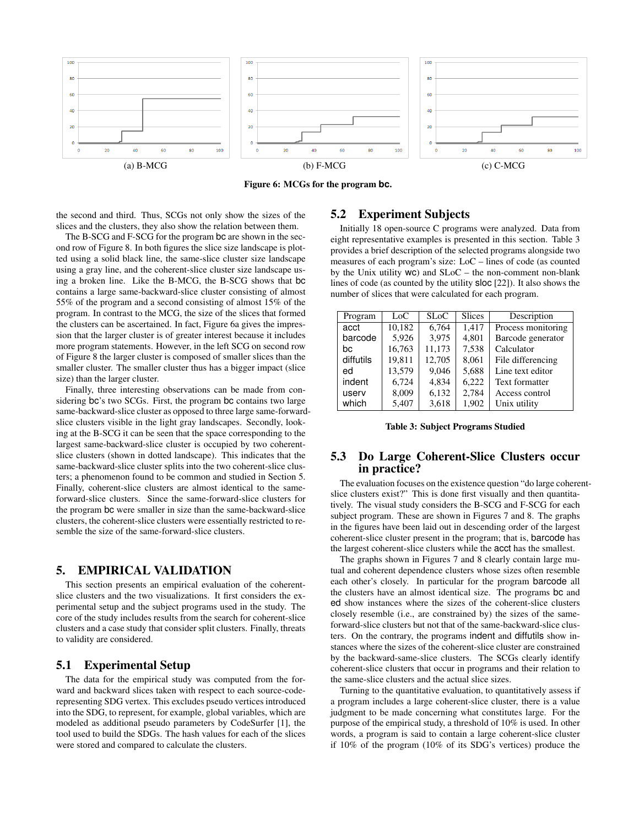

Figure 6: MCGs for the program **bc**.

the second and third. Thus, SCGs not only show the sizes of the slices and the clusters, they also show the relation between them.

The B-SCG and F-SCG for the program bc are shown in the second row of Figure 8. In both figures the slice size landscape is plotted using a solid black line, the same-slice cluster size landscape using a gray line, and the coherent-slice cluster size landscape using a broken line. Like the B-MCG, the B-SCG shows that bc contains a large same-backward-slice cluster consisting of almost 55% of the program and a second consisting of almost 15% of the program. In contrast to the MCG, the size of the slices that formed the clusters can be ascertained. In fact, Figure 6a gives the impression that the larger cluster is of greater interest because it includes more program statements. However, in the left SCG on second row of Figure 8 the larger cluster is composed of smaller slices than the smaller cluster. The smaller cluster thus has a bigger impact (slice size) than the larger cluster.

Finally, three interesting observations can be made from considering bc's two SCGs. First, the program bc contains two large same-backward-slice cluster as opposed to three large same-forwardslice clusters visible in the light gray landscapes. Secondly, looking at the B-SCG it can be seen that the space corresponding to the largest same-backward-slice cluster is occupied by two coherentslice clusters (shown in dotted landscape). This indicates that the same-backward-slice cluster splits into the two coherent-slice clusters; a phenomenon found to be common and studied in Section 5. Finally, coherent-slice clusters are almost identical to the sameforward-slice clusters. Since the same-forward-slice clusters for the program bc were smaller in size than the same-backward-slice clusters, the coherent-slice clusters were essentially restricted to resemble the size of the same-forward-slice clusters.

# 5. EMPIRICAL VALIDATION

This section presents an empirical evaluation of the coherentslice clusters and the two visualizations. It first considers the experimental setup and the subject programs used in the study. The core of the study includes results from the search for coherent-slice clusters and a case study that consider split clusters. Finally, threats to validity are considered.

# 5.1 Experimental Setup

The data for the empirical study was computed from the forward and backward slices taken with respect to each source-coderepresenting SDG vertex. This excludes pseudo vertices introduced into the SDG, to represent, for example, global variables, which are modeled as additional pseudo parameters by CodeSurfer [1], the tool used to build the SDGs. The hash values for each of the slices were stored and compared to calculate the clusters.

# 5.2 Experiment Subjects

Initially 18 open-source C programs were analyzed. Data from eight representative examples is presented in this section. Table 3 provides a brief description of the selected programs alongside two measures of each program's size: LoC – lines of code (as counted by the Unix utility wc) and SLoC – the non-comment non-blank lines of code (as counted by the utility sloc [22]). It also shows the number of slices that were calculated for each program.

| Program   | LoC    | <b>SLoC</b> | <b>Slices</b> | Description        |
|-----------|--------|-------------|---------------|--------------------|
| acct      | 10,182 | 6,764       | 1,417         | Process monitoring |
| barcode   | 5.926  | 3.975       | 4,801         | Barcode generator  |
| bc        | 16,763 | 11,173      | 7,538         | Calculator         |
| diffutils | 19.811 | 12,705      | 8.061         | File differencing  |
| ed        | 13,579 | 9.046       | 5,688         | Line text editor   |
| indent    | 6,724  | 4,834       | 6,222         | Text formatter     |
| userv     | 8,009  | 6,132       | 2,784         | Access control     |
| which     | 5,407  | 3,618       | 1,902         | Unix utility       |

Table 3: Subject Programs Studied

# 5.3 Do Large Coherent-Slice Clusters occur in practice?

The evaluation focuses on the existence question "do large coherentslice clusters exist?" This is done first visually and then quantitatively. The visual study considers the B-SCG and F-SCG for each subject program. These are shown in Figures 7 and 8. The graphs in the figures have been laid out in descending order of the largest coherent-slice cluster present in the program; that is, barcode has the largest coherent-slice clusters while the acct has the smallest.

The graphs shown in Figures 7 and 8 clearly contain large mutual and coherent dependence clusters whose sizes often resemble each other's closely. In particular for the program barcode all the clusters have an almost identical size. The programs bc and ed show instances where the sizes of the coherent-slice clusters closely resemble (i.e., are constrained by) the sizes of the sameforward-slice clusters but not that of the same-backward-slice clusters. On the contrary, the programs indent and diffutils show instances where the sizes of the coherent-slice cluster are constrained by the backward-same-slice clusters. The SCGs clearly identify coherent-slice clusters that occur in programs and their relation to the same-slice clusters and the actual slice sizes.

Turning to the quantitative evaluation, to quantitatively assess if a program includes a large coherent-slice cluster, there is a value judgment to be made concerning what constitutes large. For the purpose of the empirical study, a threshold of 10% is used. In other words, a program is said to contain a large coherent-slice cluster if 10% of the program (10% of its SDG's vertices) produce the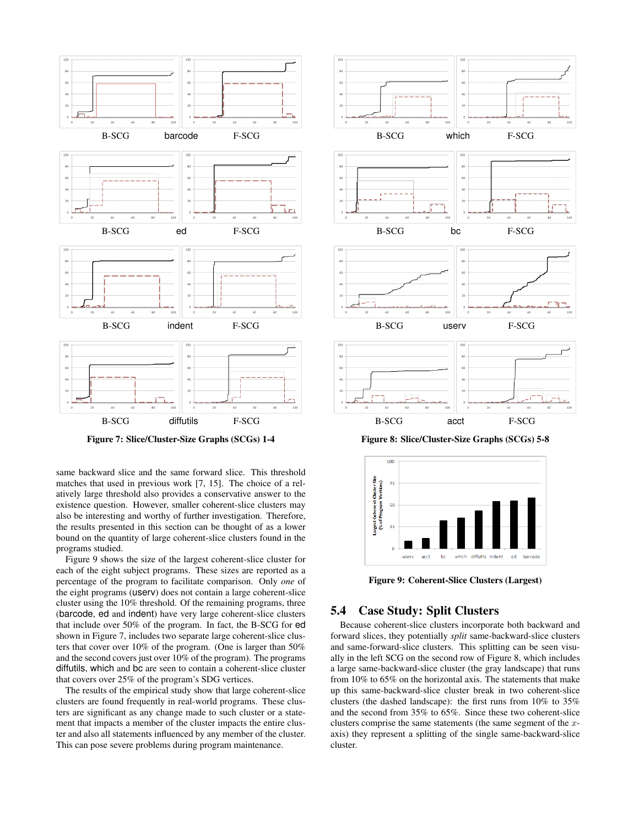

Figure 7: Slice/Cluster-Size Graphs (SCGs) 1-4

same backward slice and the same forward slice. This threshold matches that used in previous work [7, 15]. The choice of a relatively large threshold also provides a conservative answer to the existence question. However, smaller coherent-slice clusters may also be interesting and worthy of further investigation. Therefore, the results presented in this section can be thought of as a lower bound on the quantity of large coherent-slice clusters found in the programs studied.

Figure 9 shows the size of the largest coherent-slice cluster for each of the eight subject programs. These sizes are reported as a percentage of the program to facilitate comparison. Only *one* of the eight programs (userv) does not contain a large coherent-slice cluster using the 10% threshold. Of the remaining programs, three (barcode, ed and indent) have very large coherent-slice clusters that include over 50% of the program. In fact, the B-SCG for ed shown in Figure 7, includes two separate large coherent-slice clusters that cover over 10% of the program. (One is larger than 50% and the second covers just over 10% of the program). The programs diffutils, which and bc are seen to contain a coherent-slice cluster that covers over 25% of the program's SDG vertices.

The results of the empirical study show that large coherent-slice clusters are found frequently in real-world programs. These clusters are significant as any change made to such cluster or a statement that impacts a member of the cluster impacts the entire cluster and also all statements influenced by any member of the cluster. This can pose severe problems during program maintenance.



Figure 8: Slice/Cluster-Size Graphs (SCGs) 5-8



Figure 9: Coherent-Slice Clusters (Largest)

# 5.4 Case Study: Split Clusters

Because coherent-slice clusters incorporate both backward and forward slices, they potentially *split* same-backward-slice clusters and same-forward-slice clusters. This splitting can be seen visually in the left SCG on the second row of Figure 8, which includes a large same-backward-slice cluster (the gray landscape) that runs from 10% to 65% on the horizontal axis. The statements that make up this same-backward-slice cluster break in two coherent-slice clusters (the dashed landscape): the first runs from 10% to 35% and the second from 35% to 65%. Since these two coherent-slice clusters comprise the same statements (the same segment of the *x*axis) they represent a splitting of the single same-backward-slice cluster.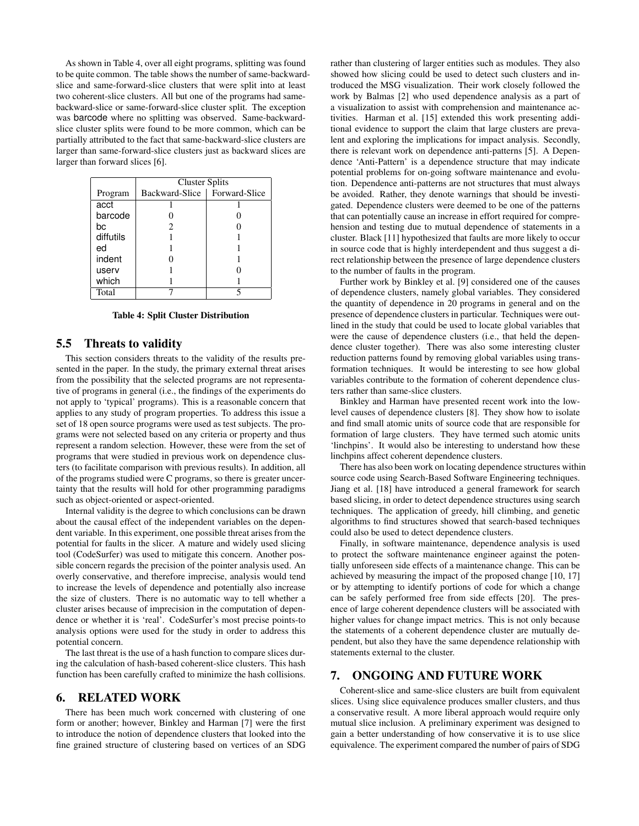As shown in Table 4, over all eight programs, splitting was found to be quite common. The table shows the number of same-backwardslice and same-forward-slice clusters that were split into at least two coherent-slice clusters. All but one of the programs had samebackward-slice or same-forward-slice cluster split. The exception was barcode where no splitting was observed. Same-backwardslice cluster splits were found to be more common, which can be partially attributed to the fact that same-backward-slice clusters are larger than same-forward-slice clusters just as backward slices are larger than forward slices [6].

|           | <b>Cluster Splits</b>          |  |  |
|-----------|--------------------------------|--|--|
| Program   | Backward-Slice   Forward-Slice |  |  |
| acct      |                                |  |  |
| barcode   |                                |  |  |
| bc        |                                |  |  |
| diffutils |                                |  |  |
| ed        |                                |  |  |
| indent    |                                |  |  |
| userv     |                                |  |  |
| which     |                                |  |  |
| Total     |                                |  |  |

Table 4: Split Cluster Distribution

# 5.5 Threats to validity

This section considers threats to the validity of the results presented in the paper. In the study, the primary external threat arises from the possibility that the selected programs are not representative of programs in general (i.e., the findings of the experiments do not apply to 'typical' programs). This is a reasonable concern that applies to any study of program properties. To address this issue a set of 18 open source programs were used as test subjects. The programs were not selected based on any criteria or property and thus represent a random selection. However, these were from the set of programs that were studied in previous work on dependence clusters (to facilitate comparison with previous results). In addition, all of the programs studied were C programs, so there is greater uncertainty that the results will hold for other programming paradigms such as object-oriented or aspect-oriented.

Internal validity is the degree to which conclusions can be drawn about the causal effect of the independent variables on the dependent variable. In this experiment, one possible threat arises from the potential for faults in the slicer. A mature and widely used slicing tool (CodeSurfer) was used to mitigate this concern. Another possible concern regards the precision of the pointer analysis used. An overly conservative, and therefore imprecise, analysis would tend to increase the levels of dependence and potentially also increase the size of clusters. There is no automatic way to tell whether a cluster arises because of imprecision in the computation of dependence or whether it is 'real'. CodeSurfer's most precise points-to analysis options were used for the study in order to address this potential concern.

The last threat is the use of a hash function to compare slices during the calculation of hash-based coherent-slice clusters. This hash function has been carefully crafted to minimize the hash collisions.

# 6. RELATED WORK

There has been much work concerned with clustering of one form or another; however, Binkley and Harman [7] were the first to introduce the notion of dependence clusters that looked into the fine grained structure of clustering based on vertices of an SDG

rather than clustering of larger entities such as modules. They also showed how slicing could be used to detect such clusters and introduced the MSG visualization. Their work closely followed the work by Balmas [2] who used dependence analysis as a part of a visualization to assist with comprehension and maintenance activities. Harman et al. [15] extended this work presenting additional evidence to support the claim that large clusters are prevalent and exploring the implications for impact analysis. Secondly, there is relevant work on dependence anti-patterns [5]. A Dependence 'Anti-Pattern' is a dependence structure that may indicate potential problems for on-going software maintenance and evolution. Dependence anti-patterns are not structures that must always be avoided. Rather, they denote warnings that should be investigated. Dependence clusters were deemed to be one of the patterns that can potentially cause an increase in effort required for comprehension and testing due to mutual dependence of statements in a cluster. Black [11] hypothesized that faults are more likely to occur in source code that is highly interdependent and thus suggest a direct relationship between the presence of large dependence clusters to the number of faults in the program.

Further work by Binkley et al. [9] considered one of the causes of dependence clusters, namely global variables. They considered the quantity of dependence in 20 programs in general and on the presence of dependence clusters in particular. Techniques were outlined in the study that could be used to locate global variables that were the cause of dependence clusters (i.e., that held the dependence cluster together). There was also some interesting cluster reduction patterns found by removing global variables using transformation techniques. It would be interesting to see how global variables contribute to the formation of coherent dependence clusters rather than same-slice clusters.

Binkley and Harman have presented recent work into the lowlevel causes of dependence clusters [8]. They show how to isolate and find small atomic units of source code that are responsible for formation of large clusters. They have termed such atomic units 'linchpins'. It would also be interesting to understand how these linchpins affect coherent dependence clusters.

There has also been work on locating dependence structures within source code using Search-Based Software Engineering techniques. Jiang et al. [18] have introduced a general framework for search based slicing, in order to detect dependence structures using search techniques. The application of greedy, hill climbing, and genetic algorithms to find structures showed that search-based techniques could also be used to detect dependence clusters.

Finally, in software maintenance, dependence analysis is used to protect the software maintenance engineer against the potentially unforeseen side effects of a maintenance change. This can be achieved by measuring the impact of the proposed change [10, 17] or by attempting to identify portions of code for which a change can be safely performed free from side effects [20]. The presence of large coherent dependence clusters will be associated with higher values for change impact metrics. This is not only because the statements of a coherent dependence cluster are mutually dependent, but also they have the same dependence relationship with statements external to the cluster.

# 7. ONGOING AND FUTURE WORK

Coherent-slice and same-slice clusters are built from equivalent slices. Using slice equivalence produces smaller clusters, and thus a conservative result. A more liberal approach would require only mutual slice inclusion. A preliminary experiment was designed to gain a better understanding of how conservative it is to use slice equivalence. The experiment compared the number of pairs of SDG